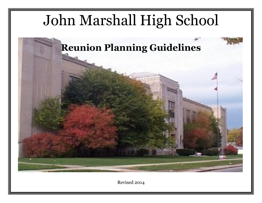# John Marshall High School



Revised 2014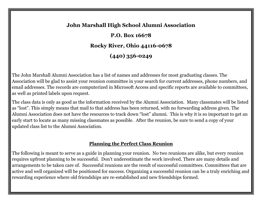## **John Marshall High School Alumni Association**

**P.O. Box 16678 Rocky River, Ohio 44116-0678 (440) 356-0249**

The John Marshall Alumni Association has a list of names and addresses for most graduating classes. The Association will be glad to assist your reunion committee in your search for current addresses, phone numbers, and email addresses. The records are computerized in Microsoft Access and specific reports are available to committees, as well as printed labels upon request.

The class data is only as good as the information received by the Alumni Association. Many classmates will be listed as "lost". This simply means that mail to that address has been returned, with no forwarding address given. The Alumni Association does not have the resources to track down "lost" alumni. This is why it is so important to get an early start to locate as many missing classmates as possible. After the reunion, be sure to send a copy of your updated class list to the Alumni Association.

## **Planning the Perfect Class Reunion**

The following is meant to serve as a guide in planning your reunion. No two reunions are alike, but every reunion requires upfront planning to be successful. Don't underestimate the work involved. There are many details and arrangements to be taken care of. Successful reunions are the result of successful committees. Committees that are active and well organized will be positioned for success. Organizing a successful reunion can be a truly enriching and rewarding experience where old friendships are re-established and new friendships formed.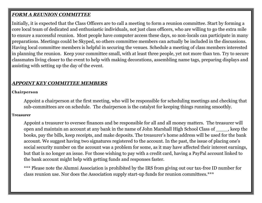## *FORM A REUNION COMMITTEE*

Initially, it is expected that the Class Officers are to call a meeting to form a reunion committee. Start by forming a core local team of dedicated and enthusiastic individuals, not just class officers, who are willing to go the extra mile to ensure a successful reunion. Most people have computer access these days, so non-locals can participate in many preparations. Meetings could be Skyped, so others committee members can actually be included in the discussions. Having local committee members is helpful in securing the venues. Schedule a meeting of class members interested in planning the reunion. Keep your committee small, with at least three people, yet not more than ten. Try to secure classmates living closer to the event to help with making decorations, assembling name tags, preparing displays and assisting with setting up the day of the event.

## *APPOINT KEY COMMITTEE MEMBERS*

#### **Chairperson**

Appoint a chairperson at the first meeting, who will be responsible for scheduling meetings and checking that sub-committees are on schedule. The chairperson is the catalyst for keeping things running smoothly.

#### **Treasurer**

Appoint a treasurer to oversee finances and be responsible for all and all money matters. The treasurer will open and maintain an account at any bank in the name of John Marshall High School Class of \_\_\_\_, keep the books, pay the bills, keep receipts, and make deposits. The treasurer's home address will be used for the bank account. We suggest having two signatures registered to the account. In the past, the issue of placing one's social security number on the account was a problem for some, as it may have affected their interest earnings, but that is no longer an issue. For those wishing to pay with a credit card, having a PayPal account linked to the bank account might help with getting funds and responses faster.

\*\*\* Please note the Alumni Association is prohibited by the IRS from giving out our tax-free ID number for class reunion use. Nor does the Association supply start-up funds for reunion committees.\*\*\*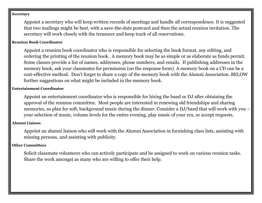#### **Secretary**

Appoint a secretary who will keep written records of meetings and handle all correspondence. It is suggested that two mailings might be best, with a save-the-date postcard and then the actual reunion invitation. The secretary will work closely with the treasurer and keep track of all reservations.

#### **Reunion Book Coordinator**

Appoint a reunion book coordinator who is responsible for selecting the book format, any editing, and ordering the printing of the reunion book. A memory book may be as simple or as elaborate as funds permit. Some classes provide a list of names, addresses, phone numbers, and emails. If publishing addresses in the memory book, ask your classmates for permission (on the response form). A memory book on a CD can be a cost-effective method. Don't forget to share a copy of the memory book with the Alumni Association. BELOW further suggestions on what might be included in the memory book.

#### **Entertainment Coordinator**

Appoint an entertainment coordinator who is responsible for hiring the band or DJ after obtaining the approval of the reunion committee. Most people are interested in renewing old friendships and sharing memories, so plan for soft, background music during the dinner. Consider a DJ/band that will work with you – your selection of music, volume levels for the entire evening, play music of your era, or accept requests.

#### **Alumni Liaison**

Appoint an alumni liaison who will work with the Alumni Association in furnishing class lists, assisting with missing persons, and assisting with publicity.

#### **Other Committees**

Solicit classmate volunteers who can actively participate and be assigned to work on various reunion tasks. Share the work amongst as many who are willing to offer their help.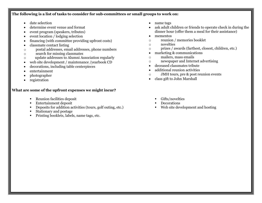#### **The following is a list of tasks to consider for sub-committees or small groups to work on:**

- date selection
- determine event venue and format
- event program (speakers, tributes)
- event location / lodging selection
- financing (with committee providing upfront costs)
- classmate contact listing
- o postal addresses, email addresses, phone numbers
- o search for missing classmates
- o update addresses to Alumni Association regularly
- web site development / maintenance /yearbook CD
- decorations, including table centerpieces
- entertainment
- photographer
- registration

#### **What are some of the upfront expenses we might incur?**

- Reunion facilities deposit
- Entertainment deposit
- Deposits for addition activities (tours, golf outing, etc.)
- Stationary and postage
- **Printing booklets, labels, name tags, etc.**
- name tags
- ask adult children or friends to operate check in during the dinner hour (offer them a meal for their assistance)
- mementos
- o reunion / memories booklet
- o novelties
- o prizes / awards (farthest, closest, children, etc.)
- marketing & communications
- o mailers, mass emails
- o newspaper and Internet advertising
- deceased classmates tribute
- additional reunion activities
- o JMH tours, pre & post reunion events
- class gift to John Marshall
	- Gifts/novelties
	- Decorations
	- Web site development and hosting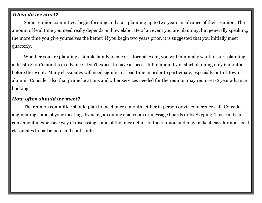## *When do we start?*

Some reunion committees begin forming and start planning up to two years in advance of their reunion. The amount of lead time you need really depends on how elaborate of an event you are planning, but generally speaking, the more time you give yourselves the better! If you begin two years prior, it is suggested that you initially meet quarterly.

Whether you are planning a simple family picnic or a formal event, you will minimally want to start planning at least 12 to 16 months in advance. Don't expect to have a successful reunion if you start planning only 6 months before the event. Many classmates will need significant lead time in order to participate, especially out-of-town alumni. Consider also that prime locations and other services needed for the reunion may require 1-2 year advance booking.

## *How often should we meet?*

The reunion committee should plan to meet once a month, either in person or via conference call. Consider augmenting some of your meetings by using an online chat room or message boards or by Skyping. This can be a convenient inexpensive way of discussing some of the finer details of the reunion and may make it easy for non-local classmates to participate and contribute.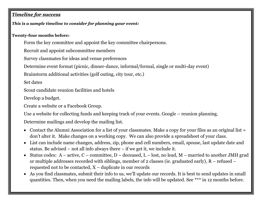## *Timeline for success*

## *This is a sample timeline to consider for planning your event:*

## **Twenty-four months before:**

Form the key committee and appoint the key committee chairpersons.

Recruit and appoint subcommittee members

Survey classmates for ideas and venue preferences

Determine event format (picnic, dinner-dance, informal/formal, single or multi-day event)

Brainstorm additional activities (golf outing, city tour, etc.)

Set dates

Scout candidate reunion facilities and hotels

Develop a budget.

Create a website or a Facebook Group.

Use a website for collecting funds and keeping track of your events. Google – reunion planning.

Determine mailings and develop the mailing list.

- Contact the Alumni Association for a list of your classmates. Make a copy for your files as an original list = don't alter it. Make changes on a working copy. We can also provide a spreadsheet of your class.
- List can include name changes, address, zip, phone and cell numbers, email, spouse, last update date and status. Be advised – not all info always there – if we get it, we include it.
- Status codes:  $A active, C committee, D decreased, L lost, no lead, M married to another JMH grad$ or multiple addresses recorded with siblings, member of 2 classes (ie. graduated early), R – refused – requested not to be contacted, X – duplicate in our records
- As you find classmates, submit their info to us, we'll update our records. It is best to send updates in small quantities. Then, when you need the mailing labels, the info will be updated. See \*\*\* in 12 months before.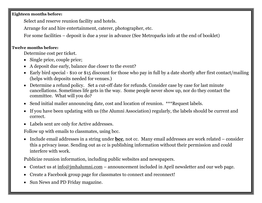#### **Eighteen months before:**

Select and reserve reunion facility and hotels.

Arrange for and hire entertainment, caterer, photographer, etc.

For some facilities – deposit is due a year in advance (See Metroparks info at the end of booklet)

## **Twelve months before:**

Determine cost per ticket.

- Single price, couple price;
- A deposit due early, balance due closer to the event?
- Early bird special \$10 or \$15 discount for those who pay in full by a date shortly after first contact/mailing (helps with deposits needed for venues.)
- Determine a refund policy. Set a cut-off date for refunds. Consider case by case for last minute cancellations. Sometimes life gets in the way. Some people never show up, nor do they contact the committee. What will you do?
- Send initial mailer announcing date, cost and location of reunion. \*\*\*Request labels.
- If you have been updating with us (the Alumni Association) regularly, the labels should be current and correct.
- Labels sent are only for Active addresses.

Follow up with emails to classmates, using bcc.

• Include email addresses in a string under **bcc**, not cc. Many email addresses are work related – consider this a privacy issue. Sending out as cc is publishing information without their permission and could interfere with work.

Publicize reunion information, including public websites and newspapers.

- Contact us at  $\inf_0$   $\frac{\partial}{\partial x}$  inhalumni.com announcement included in April newsletter and our web page.
- Create a Facebook group page for classmates to connect and reconnect!
- Sun News and PD Friday magazine.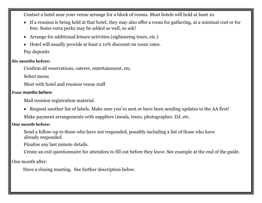Contact a hotel near your venue arrange for a block of rooms. Most hotels will hold at least 10.

- If a reunion is being held at that hotel, they may also offer a room for gathering, at a minimal cost or for free. Some extra perks may be added as well, so ask!
- Arrange for additional leisure activities (sightseeing tours, etc.)
- Hotel will usually provide at least a 10% discount on room rates.

Pay deposits

## **Six months before:**

Confirm all reservations, caterer, entertainment, etc.

Select menu

Meet with hotel and reunion venue staff

#### **Four months before:**

Mail reunion registration material.

 Request another list of labels. Make sure you've sent or have been sending updates to the AA first! Make payment arrangements with suppliers (meals, tours, photographer, DJ, etc.

#### **One month before:**

Send a follow-up to those who have not responded, possibly including a list of those who have already responded.

Finalize any last minute details.

Create an exit questionnaire for attendees to fill out before they leave. See example at the end of the guide.

One month after:

Have a closing meeting. See further description below.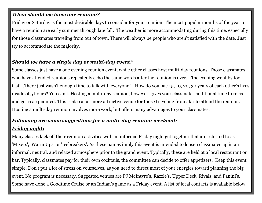## *When should we have our reunion?*

Friday or Saturday is the most desirable days to consider for your reunion. The most popular months of the year to have a reunion are early summer through late fall. The weather is more accommodating during this time, especially for those classmates traveling from out of town. There will always be people who aren't satisfied with the date. Just try to accommodate the majority.

## *Should we have a single day or multi-day event?*

Some classes just have a one evening reunion event, while other classes host multi-day reunions. Those classmates who have attended reunions repeatedly echo the same words after the reunion is over....'the evening went by too fast'...'there just wasn't enough time to talk with everyone '. How do you pack 5, 10, 20, 30 years of each other's lives inside of 5 hours? You can't. Hosting a multi-day reunion, however, gives your classmates additional time to relax and get reacquainted. This is also a far more attractive venue for those traveling from afar to attend the reunion. Hosting a multi-day reunion involves more work, but offers many advantages to your classmates.

## *Following are some suggestions for a multi-day reunion weekend:*

## *Friday night:*

Many classes kick off their reunion activities with an informal Friday night get together that are referred to as 'Mixers', 'Warm Ups' or 'Icebreakers'. As these names imply this event is intended to loosen classmates up in an informal, neutral, and relaxed atmosphere prior to the grand event. Typically, these are held at a local restaurant or bar. Typically, classmates pay for their own cocktails, the committee can decide to offer appetizers. Keep this event simple. Don't put a lot of stress on yourselves, as you need to direct most of your energies toward planning the big event. No program is necessary. Suggested venues are PJ McIntyre's, Razzle's, Upper Deck, Rivals, and Panini's. Some have done a Goodtime Cruise or an Indian's game as a Friday event. A list of local contacts is available below.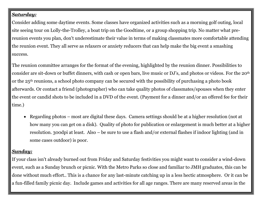## *Saturday:*

Consider adding some daytime events. Some classes have organized activities such as a morning golf outing, local site seeing tour on Lolly-the-Trolley, a boat trip on the Goodtime, or a group shopping trip. No matter what prereunion events you plan, don't underestimate their value in terms of making classmates more comfortable attending the reunion event. They all serve as relaxers or anxiety reducers that can help make the big event a smashing success.

The reunion committee arranges for the format of the evening, highlighted by the reunion dinner. Possibilities to consider are sit-down or buffet dinners, with cash or open bars, live music or DJ's, and photos or videos. For the 20th or the 25th reunions, a school photo company can be secured with the possibility of purchasing a photo book afterwards. Or contact a friend (photographer) who can take quality photos of classmates/spouses when they enter the event or candid shots to be included in a DVD of the event. (Payment for a dinner and/or an offered fee for their time.)

 Regarding photos – most are digital these days. Camera settings should be at a higher resolution (not at how many you can get on a disk). Quality of photo for publication or enlargement is much better at a higher resolution. 300dpi at least. Also – be sure to use a flash and/or external flashes if indoor lighting (and in some cases outdoor) is poor.

## *Sunday:*

If your class isn't already burned out from Friday and Saturday festivities you might want to consider a wind-down event, such as a Sunday brunch or picnic. With the Metro Parks so close and familiar to JMH graduates, this can be done without much effort.. This is a chance for any last-minute catching up in a less hectic atmosphere. Or it can be a fun-filled family picnic day. Include games and activities for all age ranges. There are many reserved areas in the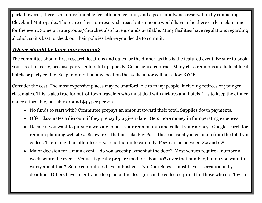park; however, there is a non-refundable fee, attendance limit, and a year-in-advance reservation by contacting Cleveland Metroparks. There are other non-reserved areas, but someone would have to be there early to claim one for the event. Some private groups/churches also have grounds available. Many facilities have regulations regarding alcohol, so it's best to check out their policies before you decide to commit.

## *Where should be have our reunion?*

The committee should first research locations and dates for the dinner, as this is the featured event. Be sure to book your location early, because party centers fill up quickly. Get a signed contract. Many class reunions are held at local hotels or party center. Keep in mind that any location that sells liquor will not allow BYOB.

Consider the cost. The most expensive places may be unaffordable to many people, including retirees or younger classmates. This is also true for out-of-town travelers who must deal with airfares and hotels. Try to keep the dinnerdance affordable, possibly around \$45 per person.

- No funds to start with? Committee prepays an amount toward their total. Supplies down payments.
- Offer classmates a discount if they prepay by a given date. Gets more money in for operating expenses.
- Decide if you want to pursue a website to post your reunion info and collect your money. Google search for reunion planning websites. Be aware – that just like Pay Pal – there is usually a fee taken from the total you collect. There might be other fees – so read their info carefully. Fees can be between 2% and 6%.
- Major decision for a main event do you accept payment at the door? Most venues require a number a week before the event. Venues typically prepare food for about 10% over that number, but do you want to worry about that? Some committees have published – No Door Sales – must have reservation in by deadline. Others have an entrance fee paid at the door (or can be collected prior) for those who don't wish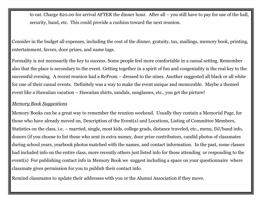to eat. Charge \$20.00 for arrival AFTER the dinner hour. After all – you still have to pay for use of the hall, security, band, etc. This could provide a cushion toward the next reunion.

Consider in the budget all expenses, including the cost of the dinner, gratuity, tax, mailings, memory book, printing, entertainment, favors, door prizes, and name tags.

Formality is not necessarily the key to success. Some people feel more comfortable in a casual setting. Remember also that the place is secondary to the event. Getting together in a spirit of fun and congeniality is the real key to the successful evening. A recent reunion had a ReProm – dressed to the nines. Another suggested all black or all white for one of their casual events. Definitely was a way to make the event unique and memorable. Maybe a themed event like a Hawaiian vacation – Hawaiian shirts, sandals, sunglasses, etc., you get the picture!

## *Memory Book Suggestions*

Memory Books can be a great way to remember the reunion weekend. Usually they contain a Memorial Page, for those who have already moved on, Description of the Event(s) and Locations, Listing of Committee Members, Statistics on the class, i.e. – married, single, most kids, college grads, distance traveled, etc., menu, DJ/band info, donors (if you choose to list those who sent in extra money, door prize contributors, candid photos of classmates during school years, yearbook photos matched with the names, and contact information. In the past, some classes had included info on the entire class, more recently others just listed info for those attending or responding to the event(s) For publishing contact info in Memory Book we suggest including a space on your questionnaire where classmate gives permission for you to publish their contact info.

Remind classmates to update their addresses with you or the Alumni Association if they move.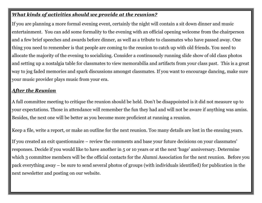## *What kinds of activities should we provide at the reunion?*

If you are planning a more formal evening event, certainly the night will contain a sit down dinner and music entertainment. You can add some formality to the evening with an official opening welcome from the chairperson and a few brief speeches and awards before dinner, as well as a tribute to classmates who have passed away. One thing you need to remember is that people are coming to the reunion to catch up with old friends. You need to allocate the majority of the evening to socializing. Consider a continuously running slide show of old class photos and setting up a nostalgia table for classmates to view memorabilia and artifacts from your class past. This is a great way to jog faded memories and spark discussions amongst classmates. If you want to encourage dancing, make sure your music provider plays music from your era.

## *After the Reunion*

A full committee meeting to critique the reunion should be held. Don't be disappointed is it did not measure up to your expectations. Those in attendance will remember the fun they had and will not be aware if anything was amiss. Besides, the next one will be better as you become more proficient at running a reunion.

Keep a file, write a report, or make an outline for the next reunion. Too many details are lost in the ensuing years.

If you created an exit questionnaire – review the comments and base your future decisions on your classmates' responses. Decide if you would like to have another in 5 or 10 years or at the next 'huge' anniversary. Determine which 3 committee members will be the official contacts for the Alumni Association for the next reunion. Before you pack everything away – be sure to send several photos of groups (with individuals identified) for publication in the next newsletter and posting on our website.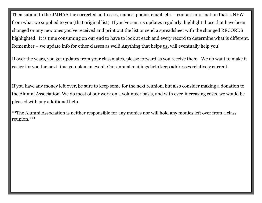Then submit to the JMHAA the corrected addresses, names, phone, email, etc. – contact information that is NEW from what we supplied to you (that original list). If you've sent us updates regularly, highlight those that have been changed or any new ones you've received and print out the list or send a spreadsheet with the changed RECORDS highlighted. It is time consuming on our end to have to look at each and every record to determine what is different. Remember – we update info for other classes as well! Anything that helps us, will eventually help you!

If over the years, you get updates from your classmates, please forward as you receive them. We do want to make it easier for you the next time you plan an event. Our annual mailings help keep addresses relatively current.

If you have any money left over, be sure to keep some for the next reunion, but also consider making a donation to the Alumni Association. We do most of our work on a volunteer basis, and with ever-increasing costs, we would be pleased with any additional help.

\*\*The Alumni Association is neither responsible for any monies nor will hold any monies left over from a class reunion.\*\*\*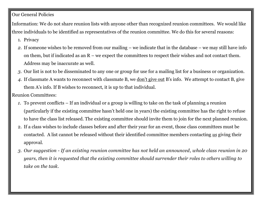## Our General Policies

Information: We do not share reunion lists with anyone other than recognized reunion committees. We would like three individuals to be identified as representatives of the reunion committee. We do this for several reasons:

- 1. Privacy
- *2.* If someone wishes to be removed from our mailing we indicate that in the database we may still have info on them, but if indicated as an  $R$  – we expect the committees to respect their wishes and not contact them. Address may be inaccurate as well.
- *3.* Our list is not to be disseminated to any one or group for use for a mailing list for a business or organization.
- *4.* If classmate A wants to reconnect with classmate B, we don't give out B's info. We attempt to contact B, give them A's info. If B wishes to reconnect, it is up to that individual.

Reunion Committees:

- *1.* To prevent conflicts If an individual or a group is willing to take on the task of planning a reunion (particularly if the existing committee hasn't held one in years) the existing committee has the right to refuse to have the class list released. The existing committee should invite them to join for the next planned reunion.
- 2. If a class wishes to include classes before and after their year for an event, those class committees must be contacted. A list cannot be released without their identified committee members contacting *us* giving their approval.
- *3. Our suggestion - If an existing reunion committee has not held an announced, whole class reunion in 20 years, then it is requested that the existing committee should surrender their roles to others willing to take on the task.*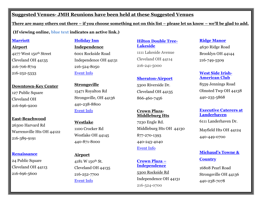## **Suggested Venues- JMH Reunions have been held at these Suggested Venues**

**There are many others out there – if you choose something not on this list – please let us know – we'll be glad to add.**

**(If viewing online, blue text indicates an active link.)**

#### **[Marriott](http://www.marriott.com/)**

**Airport** 

4277 West 150th Street Cleveland OH 44135 216-706-8719 216-252-5333

**Downtown-Key Center** 127 Public Square Cleveland OH 216-696-9200

**East-Beachwood** 26300 Harvard Rd Warrensville Hts OH 44122 216-389-9191

#### **[Renaissance](http://www.marriott.com/hotels/hotel-photos/clebr-renaissance-cleveland-hotel/)**

24 Public Square Cleveland OH 44113 216-696-5600

#### **[Holiday Inn](http://www.holidayinn.com/)**

**Independence** 6001 Rockside Road Independence OH 44131 216-524-8050 [Event Info](http://www.ihg.com/holidayinn/hotels/us/en/independence/clein/hoteldetail/events-facilities)

**Strongsville** 15471 Royalton Rd Strongsville, OH 44136 440-238-8800 [Event Info](http://www.ihg.com/holidayinn/hotels/us/en/strongsville/clesv/hoteldetail/events-facilities)

**Westlake** 1100 Crocker Rd Westlake OH 44145 440-871-8000

**Airport** 4181 W 150th St. Cleveland OH 44135 216-252-7700 [Event Info](http://www.ihg.com/holidayinn/hotels/us/en/cleveland/cleat/hoteldetail/events-facilities)

#### **[Hilton Double Tree-](http://doubletree3.hilton.com/en/hotels/ohio/doubletree-by-hilton-hotel-cleveland-downtown-lakeside-CLELSDT/index.html)[Lakeside](http://doubletree3.hilton.com/en/hotels/ohio/doubletree-by-hilton-hotel-cleveland-downtown-lakeside-CLELSDT/index.html)**

1111 Lakeside Avenue Cleveland OH 44114 216-241-5000

#### **[Sheraton-Airport](http://www.sheraton.com/)**

5300 Riverside Dr. Cleveland OH 44135 866-460-7456

#### **Crown Plaza-Middleburg Hts**

7230 Engle Rd. Middleburg Hts OH 44130 877-270-1393 440-243-4040 [Event Info](http://www.crowneplaza.com/hotels/us/en/middleburg-heights/clemh/hoteldetail/events-facilities%5d)

#### **[Crown Plaza](http://www.ihg.com/crowneplaza/hotels/us/en/independence/clerr/hoteldetail) – [Independence](http://www.ihg.com/crowneplaza/hotels/us/en/independence/clerr/hoteldetail)**

[5300 Rockside Rd](http://www.crowneplaza.com/crowneplaza/hotels/us/en/independence/clerr/hoteldetail/directions) Independence OH 44131 216-524-0700

#### **[Ridge Manor](http://www.ridgemanorbanquetcenter.com/)**

4630 Ridge Road Brooklyn OH 44144 216-749-5509

#### **[West Side Irish-](http://www.wsia-club.org/)[American Club](http://www.wsia-club.org/)**

8559 Jennings Road Olmsted Twp OH 44138 440-235-5868

## **[Executive Caterers at](http://executivecaterers.com/)  [Landerhaven](http://executivecaterers.com/)**

6111 Landerhaven Dr.

Mayfield Hts OH 44124 [440-449-0700](tel://1-440-449-0700/)

## **[Michaud's Towne &](http://www.michaudscatering.com/)  [Country](http://www.michaudscatering.com/)**

16808 Pearl Road Strongsville OH 44136 440-238-7078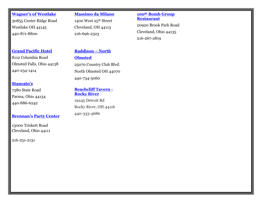**[Wagner's of Westlake](http://www.wagnersofwestlake.com/)**  30855 Center Ridge Road Westlake OH 44145 440-871-8800

#### **[Massimo da Milano](http://www.massimos.net/)**

1400 West 25th Street Cleveland, OH 44113 216-696-2323

#### **100th [Bomb Group](http://www.100thbgrestaurant.com/100thbg/default.aspx)  [Restaurant](http://www.100thbgrestaurant.com/100thbg/default.aspx)**

20920 Brook Park Road Cleveland, Ohio 44135 216-267-2819

#### **[Grand Pacific Hotel](http://www.grandpacificjunctionhotel.com/)**

8112 Columbia Road Olmsted Falls, Ohio 44138 440-234-1414

#### **[Stancato's](http://www.stancatos.com/)**

7380 State Road Parma, Ohio 44134 440-886-6242

#### **Bre[nnan's Party Center](http://www.brennanscatering.com/)**

13000 Triskett Road Cleveland, Ohio 44111

216-251-2131

## **[Raddison](http://www.radisson.com/olmsted-hotel-oh-44070/olmsted) – North [Olmsted](http://www.radisson.com/olmsted-hotel-oh-44070/olmsted)**

25070 Country Club Blvd. North Olmsted OH 44070 440-734-5060

#### **[Beachcliff Tavern](http://www.beachclifftavern.com/) - [Rocky River](http://www.beachclifftavern.com/)**

19245 Detroit Rd Rocky River, OH 44116 440-333-4686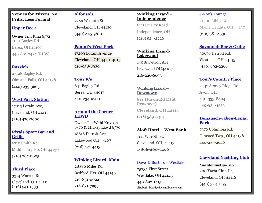#### **Venues for Mixers, No Frills, Less Formal**

#### **[Upper Deck](http://www.theupperdecksportscafe.com/)**

Owner Tim Riha 6/72 11111 Bagley Rd Berea, OH 44107 440-891-7427 (RIBS)

#### **[Razzle's](http://www.razzles.biz/)**

27128 Bagley Rd. Olmsted Falls, OH 44138 (440) 235-3663

#### **[West Park Station](http://westparkstation.com/)**

17015 Lorain Ave, Cleveland, OH 44111 (216) 476-2000

#### **Rivals [Sport Bar and](http://www.rivalscleveland.com/)  [Grille](http://www.rivalscleveland.com/)**

6710 Smith Rd Middleburg Hts OH 44130 (216) 267-0005

#### **[Third Place](http://www.thethirdplacesportsbar.com/)**

3314 Warren Rd Cleveland, OH 44111 (216) 941-1333

#### **[Alfonso](http://alfonsosrestaurante.com/)'s**

7786 W 130th St, Cleveland, OH 44130 (440) 845-9610

## **Panini's[-West Park](http://www.paninisgrill.com/locations/west-park/)**

17209 Lorain Avenue Cleveland, OH 44111-4015 216-938-8930

#### **[Tony K's](http://www.tonyks.com/)**

841 Bagley Rd Berea, OH 44017 440-234-9700

#### **[Around the Corner-](http://www.atccafe.com/)[LKWD](http://www.atccafe.com/)**

Owner Pat Wahl Krivosh 6/70 & Mickey Lkwd 6/70 18616 Detroit Ave. Lakewood OH 44107 (216) 521-4413

#### **[Winking](http://www.winkinglizard.com/) Lizard- Main**

28380 Miles Rd. Bedford Hts. OH 44146 216-831-0022 216-831-7999

#### **Winking Lizard – Independence**

6111 Quarry Road Independence, OH (216) 524-2226

#### **Winking Lizard-Lakewood**

14018 Detroit Ave. Lakewood OH44107 216-226-6693

#### **Winking Lizard – Downtown**

**811 Huron Rd E (at Prospect) Cleveland, OH 44115**

(216) 589-0313

#### **Aloft Hotel – West Bank**

1111 W. 10th St. Cleveland, OH, 44113 **1-866-460-7456**

#### Dave [& Busters](http://www.daveandbusters.com/) – Westlake

25735 First Street Westlake, OH 44145 440-892-1415 [elizabeth\\_beard@daveandbusters.com](mailto:%20elizabeth_beard@daveandbusters.com)

#### [J-Roy's Lounge](https://www.facebook.com/pages/J-Roys-Lounge/122010475662)

21300 Libby Rd Maple Heights, OH 44137  $(216)$  581-8530

#### **[Savannah Bar & Grille](http://www.thesavannah.com/)**

30676 Detroit Rd. Westlake, OH 44145 (440) 892-2266

#### **[Tom's Country Place](http://www.tomscountryplace.com/)**

3442 Stoney Ridge Rd. Avon, OH 440-333-8804 440-934-4553

#### **[Donauschwaben-Lenau](http://www.donauschwabencleveland.com/)  [Park](http://www.donauschwabencleveland.com/)**

7370 Columbia Rd. Olmsted Twp., OH 44138 440-235-2646

#### **[Cleveland Yachting Club](http://www.cycrr.org/)**

**A member must sponsor.** 200 Yacht Club Dr, Cleveland, OH 44116 (440) 333-1155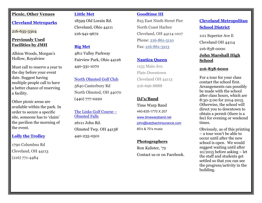#### **Picnic, Other Venues**

#### **[Cleveland Metroparks](http://www.clevelandmetroparks.com/Main/Reservations-Partners.aspx)**

216-635-3304

#### **Previously Used Facilities by JMH**

Albion Woods, Morgan's Hollow, Royalview

Must call to reserve a year to the day before your event date. Suggest having multiple people call to have a better chance of reserving a facility.

Other picnic areas are available within the park. In order to secure a specific site, someone has to 'claim' the pavilion the morning of the event.

#### **[Lolly the Trolley](http://www.lollytrolley.com/)**

1790 Columbus Rd Cleveland, OH 44113 (216) 771-4484

#### **[Little Met](http://www.clevelandmetroparks.com/Main/Little-Met.aspx)**

18599 Old Lorain Rd. Cleveland, Ohio 44111 216-941-9672

#### **[Big Met](http://www.clevelandmetroparks.com/Main/Big-Met.aspx)**

4811 Valley Parkway Fairview Park, Ohio 44126 440-331-1070

#### [North Olmsted Golf Club](http://www.northolmstedgolfclub.com/)

5840 Canterbury Rd North Olmsted, OH 44070 (440) 777-0220

#### [The Links Golf Course](http://www.thelinksgolf.net/) – [Olmsted Falls](http://www.thelinksgolf.net/) 26111 John Rd.

Olmsted Twp. OH 44138 440-235-0501

#### **[Goodtime III](http://goodtimeiii.com/site/)**

825 East Ninth Street Pier North Coast Harbor Cleveland, OH 44114-1017 Phone: [216-861-5110](tel:216-861-5110) Fax: [216-861-3213](tel:216-861-3213)

#### **[Nautica](http://www.nauticaqueen.com/) Queen**

1153 Main Ave. Flats-Downtown Cleveland OH 44113 216-696-8888

#### **DJ's/Band**

Time Warp Band 440-835-1770 X 207 [www.timewarpband.net](http://www.timewarpband.net/) [john@katzbachinsurance.com](mailto:john@katzbachinsurance.com) 60's & 70's music

#### **Photographers**

Ron Kalister, '72 Contact us or on Facebook.

## **[Cleveland Metropolitan](http://www.clevelandmetroschools.org/)  [School District](http://www.clevelandmetroschools.org/)**

1111 Superior Ave E Cleveland OH 44114 216-838-0000

**John Marshall High School** 

#### **216-838-6000**

For a tour for your class contact the school first. Arrangements can possibly be made with the school after class hours, which are 8:30-3:00 for 2014-2015. Otherwise, the school will direct you to downtown to obtain a permit (there is a fee) for evening or weekend times.

Obviously, as of this printing – a tour won't be able to occur until after the new school is open. We would suggest waiting until after 10/2015 before asking – let the staff and students get settled so that you can see the progress/activity in the building.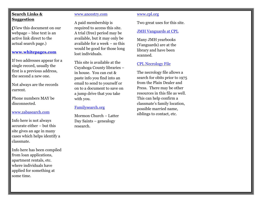#### **Search Links & Suggestion**

**(**View this document on our webpage – blue text is an active link direct to the actual search page.)

#### **[www.whitepages.com](http://www.whitepages.com/)**

If two addresses appear for a single record, usually the first is a previous address, the second a new one.

Not always are the records current.

Phone numbers MAY be disconnected.

#### [www.zabasearch.com](http://www.zabasearch.com/)

Info here is not always accurate either – but this site gives an age in many cases which helps identify a classmate.

Info here has been compiled from loan applications, apartment rentals, etc. where individuals have applied for something at some time.

#### [www.ancestry.com](http://www.ancestry.com/)

A paid membership is required to access this site. A trial (free) period may be available, but it may only be available for a week – so this would be good for those long lost individuals.

This site is available at the Cuyahoga County libraries – in house. You can cut & paste info you find into an email to send to yourself or on to a document to save on a jump drive that you take with you.

#### [Familysearch.org](https://familysearch.org/search)

Mormon Church – Latter Day Saints – genealogy research.

#### [www.cpl.org](http://www.cpl.org/)

Two great uses for this site.

#### [JMH Vanguards at CPL](http://cplorg.cdmhost.com/cdm/search/collection/p15034coll1/searchterm/john%20marshall%20high%20school%20vanguard!east%20technical/field/all!all/mode/all!none/conn/and!and/order/title)

Many JMH yearbooks (Vanguards) are at the library and have been scanned.

#### [CPL Necrology File](http://www.cpl.org/necrology/)

The necrology file allows a search for obits prior to 1975 from the Plain Dealer and Press. There may be other resources in this file as well. This can help confirm a classmate's family location, possible married name, siblings to contact, etc.